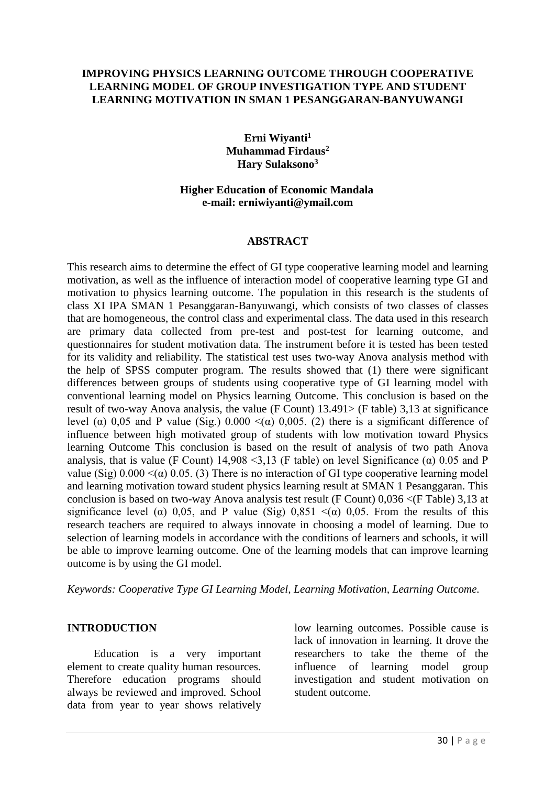#### **IMPROVING PHYSICS LEARNING OUTCOME THROUGH COOPERATIVE LEARNING MODEL OF GROUP INVESTIGATION TYPE AND STUDENT LEARNING MOTIVATION IN SMAN 1 PESANGGARAN-BANYUWANGI**

**Erni Wiyanti<sup>1</sup> Muhammad Firdaus<sup>2</sup> Hary Sulaksono<sup>3</sup>**

#### **Higher Education of Economic Mandala e-mail: erniwiyanti@ymail.com**

#### **ABSTRACT**

This research aims to determine the effect of GI type cooperative learning model and learning motivation, as well as the influence of interaction model of cooperative learning type GI and motivation to physics learning outcome. The population in this research is the students of class XI IPA SMAN 1 Pesanggaran-Banyuwangi, which consists of two classes of classes that are homogeneous, the control class and experimental class. The data used in this research are primary data collected from pre-test and post-test for learning outcome, and questionnaires for student motivation data. The instrument before it is tested has been tested for its validity and reliability. The statistical test uses two-way Anova analysis method with the help of SPSS computer program. The results showed that (1) there were significant differences between groups of students using cooperative type of GI learning model with conventional learning model on Physics learning Outcome. This conclusion is based on the result of two-way Anova analysis, the value (F Count) 13.491> (F table) 3,13 at significance level (α) 0,05 and P value (Sig.) 0.000  $\lt(\alpha)$  0,005. (2) there is a significant difference of influence between high motivated group of students with low motivation toward Physics learning Outcome This conclusion is based on the result of analysis of two path Anova analysis, that is value (F Count) 14,908 <3,13 (F table) on level Significance ( $\alpha$ ) 0.05 and P value (Sig)  $0.000 \leq (\alpha) 0.05$ . (3) There is no interaction of GI type cooperative learning model and learning motivation toward student physics learning result at SMAN 1 Pesanggaran. This conclusion is based on two-way Anova analysis test result (F Count) 0,036 <(F Table) 3,13 at significance level ( $\alpha$ ) 0,05, and P value (Sig) 0,851 <( $\alpha$ ) 0,05. From the results of this research teachers are required to always innovate in choosing a model of learning. Due to selection of learning models in accordance with the conditions of learners and schools, it will be able to improve learning outcome. One of the learning models that can improve learning outcome is by using the GI model.

*Keywords: Cooperative Type GI Learning Model, Learning Motivation, Learning Outcome.*

#### **INTRODUCTION**

Education is a very important element to create quality human resources. Therefore education programs should always be reviewed and improved. School data from year to year shows relatively low learning outcomes. Possible cause is lack of innovation in learning. It drove the researchers to take the theme of the influence of learning model group investigation and student motivation on student outcome.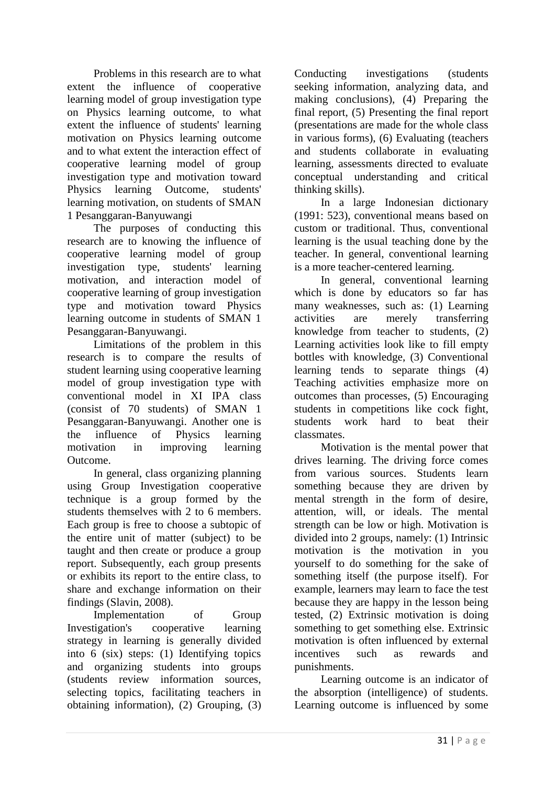Problems in this research are to what extent the influence of cooperative learning model of group investigation type on Physics learning outcome, to what extent the influence of students' learning motivation on Physics learning outcome and to what extent the interaction effect of cooperative learning model of group investigation type and motivation toward Physics learning Outcome, students' learning motivation, on students of SMAN 1 Pesanggaran-Banyuwangi

The purposes of conducting this research are to knowing the influence of cooperative learning model of group investigation type, students' learning motivation, and interaction model of cooperative learning of group investigation type and motivation toward Physics learning outcome in students of SMAN 1 Pesanggaran-Banyuwangi.

Limitations of the problem in this research is to compare the results of student learning using cooperative learning model of group investigation type with conventional model in XI IPA class (consist of 70 students) of SMAN 1 Pesanggaran-Banyuwangi. Another one is the influence of Physics learning motivation in improving learning Outcome.

In general, class organizing planning using Group Investigation cooperative technique is a group formed by the students themselves with 2 to 6 members. Each group is free to choose a subtopic of the entire unit of matter (subject) to be taught and then create or produce a group report. Subsequently, each group presents or exhibits its report to the entire class, to share and exchange information on their findings (Slavin, 2008).

Implementation of Group Investigation's cooperative learning strategy in learning is generally divided into 6 (six) steps: (1) Identifying topics and organizing students into groups (students review information sources, selecting topics, facilitating teachers in obtaining information), (2) Grouping, (3) Conducting investigations (students seeking information, analyzing data, and making conclusions), (4) Preparing the final report, (5) Presenting the final report (presentations are made for the whole class in various forms), (6) Evaluating (teachers and students collaborate in evaluating learning, assessments directed to evaluate conceptual understanding and critical thinking skills).

In a large Indonesian dictionary (1991: 523), conventional means based on custom or traditional. Thus, conventional learning is the usual teaching done by the teacher. In general, conventional learning is a more teacher-centered learning.

In general, conventional learning which is done by educators so far has many weaknesses, such as: (1) Learning activities are merely transferring knowledge from teacher to students, (2) Learning activities look like to fill empty bottles with knowledge, (3) Conventional learning tends to separate things (4) Teaching activities emphasize more on outcomes than processes, (5) Encouraging students in competitions like cock fight, students work hard to beat their classmates.

Motivation is the mental power that drives learning. The driving force comes from various sources. Students learn something because they are driven by mental strength in the form of desire, attention, will, or ideals. The mental strength can be low or high. Motivation is divided into 2 groups, namely: (1) Intrinsic motivation is the motivation in you yourself to do something for the sake of something itself (the purpose itself). For example, learners may learn to face the test because they are happy in the lesson being tested, (2) Extrinsic motivation is doing something to get something else. Extrinsic motivation is often influenced by external incentives such as rewards and punishments.

Learning outcome is an indicator of the absorption (intelligence) of students. Learning outcome is influenced by some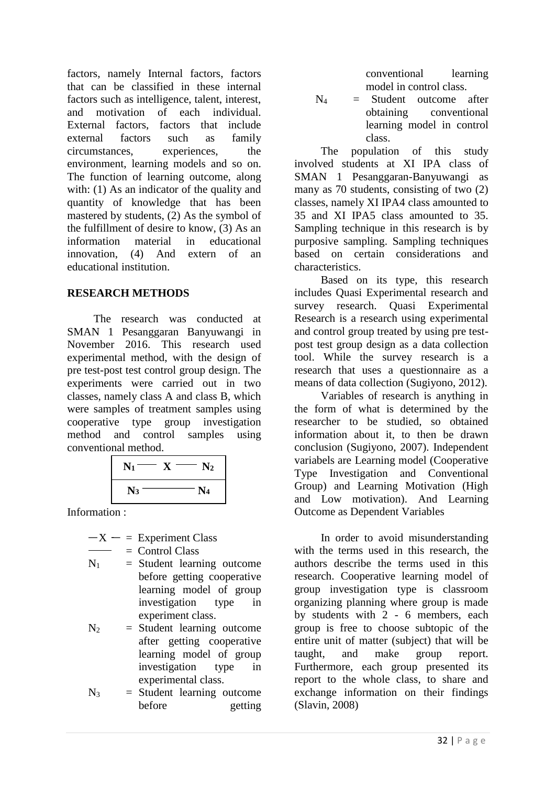factors, namely Internal factors, factors that can be classified in these internal factors such as intelligence, talent, interest, and motivation of each individual. External factors, factors that include external factors such as family circumstances, experiences, the environment, learning models and so on. The function of learning outcome, along with: (1) As an indicator of the quality and quantity of knowledge that has been mastered by students, (2) As the symbol of the fulfillment of desire to know, (3) As an information material in educational innovation, (4) And extern of an educational institution.

# **RESEARCH METHODS**

The research was conducted at SMAN 1 Pesanggaran Banyuwangi in November 2016. This research used experimental method, with the design of pre test-post test control group design. The experiments were carried out in two classes, namely class A and class B, which were samples of treatment samples using cooperative type group investigation method and control samples using conventional method.

| $\mathbf{N}_1$ | $\bf N_2$      |
|----------------|----------------|
| $\mathbf{N}_3$ | $\mathbf{N}_4$ |

Information :

$$
-X = Experiment Class
$$
  
= Control Class

 $N_1$  = Student learning outcome

before getting cooperative learning model of group investigation type in experiment class.

 $N_2$  = Student learning outcome after getting cooperative learning model of group investigation type in experimental class.

 $N_3$  = Student learning outcome before getting conventional learning model in control class.

 $N_4$  = Student outcome after obtaining conventional learning model in control class.

The population of this study involved students at XI IPA class of SMAN 1 Pesanggaran-Banyuwangi as many as 70 students, consisting of two (2) classes, namely XI IPA4 class amounted to 35 and XI IPA5 class amounted to 35. Sampling technique in this research is by purposive sampling. Sampling techniques based on certain considerations and characteristics.

Based on its type, this research includes Quasi Experimental research and survey research. Quasi Experimental Research is a research using experimental and control group treated by using pre testpost test group design as a data collection tool. While the survey research is a research that uses a questionnaire as a means of data collection (Sugiyono, 2012).

Variables of research is anything in the form of what is determined by the researcher to be studied, so obtained information about it, to then be drawn conclusion (Sugiyono, 2007). Independent variabels are Learning model (Cooperative Type Investigation and Conventional Group) and Learning Motivation (High and Low motivation). And Learning Outcome as Dependent Variables

In order to avoid misunderstanding with the terms used in this research, the authors describe the terms used in this research. Cooperative learning model of group investigation type is classroom organizing planning where group is made by students with 2 - 6 members, each group is free to choose subtopic of the entire unit of matter (subject) that will be taught, and make group report. Furthermore, each group presented its report to the whole class, to share and exchange information on their findings (Slavin, 2008)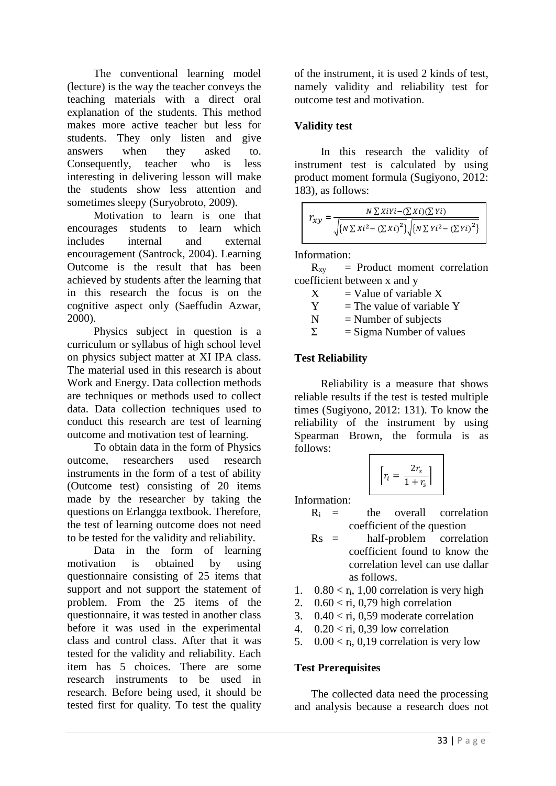The conventional learning model (lecture) is the way the teacher conveys the teaching materials with a direct oral explanation of the students. This method makes more active teacher but less for students. They only listen and give answers when they asked to. Consequently, teacher who is less interesting in delivering lesson will make the students show less attention and sometimes sleepy (Suryobroto, 2009).

Motivation to learn is one that encourages students to learn which includes internal and external encouragement (Santrock, 2004). Learning Outcome is the result that has been achieved by students after the learning that in this research the focus is on the cognitive aspect only (Saeffudin Azwar, 2000).

Physics subject in question is a curriculum or syllabus of high school level on physics subject matter at XI IPA class. The material used in this research is about Work and Energy. Data collection methods are techniques or methods used to collect data. Data collection techniques used to conduct this research are test of learning outcome and motivation test of learning.

To obtain data in the form of Physics outcome, researchers used research instruments in the form of a test of ability (Outcome test) consisting of 20 items made by the researcher by taking the questions on Erlangga textbook. Therefore, the test of learning outcome does not need to be tested for the validity and reliability.

Data in the form of learning motivation is obtained by using questionnaire consisting of 25 items that support and not support the statement of problem. From the 25 items of the questionnaire, it was tested in another class before it was used in the experimental class and control class. After that it was tested for the validity and reliability. Each item has 5 choices. There are some research instruments to be used in research. Before being used, it should be tested first for quality. To test the quality of the instrument, it is used 2 kinds of test, namely validity and reliability test for outcome test and motivation.

# **Validity test**

In this research the validity of instrument test is calculated by using product moment formula (Sugiyono, 2012: 183), as follows:

| $N \sum X iY i - (\sum X i)(\sum Y i)$                                                                |
|-------------------------------------------------------------------------------------------------------|
| $\sqrt{\left\{N \sum X i^2 - (\sum X i)^2\right\}} \sqrt{\left\{N \sum Y i^2 - (\sum Y i)^2\right\}}$ |

Information:

 $R_{xy}$  = Product moment correlation coefficient between x and y

- $X =$  Value of variable X
- $Y =$ The value of variable Y
- $N =$  Number of subjects

 $\Sigma$  = Sigma Number of values

### **Test Reliability**

Reliability is a measure that shows reliable results if the test is tested multiple times (Sugiyono, 2012: 131). To know the reliability of the instrument by using Spearman Brown, the formula is as follows:

$$
\left[r_i = \frac{2r_s}{1+r_s}\right]
$$

Information:

- $R_i$  = the overall correlation coefficient of the question
- Rs = half-problem correlation coefficient found to know the correlation level can use dallar as follows.
- 1.  $0.80 < r_i$ , 1,00 correlation is very high
- 2.  $0.60 <$  ri, 0,79 high correlation
- 3.  $0.40 <$  ri, 0.59 moderate correlation
- 4.  $0.20 \leq$  ri, 0.39 low correlation
- 5.  $0.00 < r_i$ , 0,19 correlation is very low

### **Test Prerequisites**

The collected data need the processing and analysis because a research does not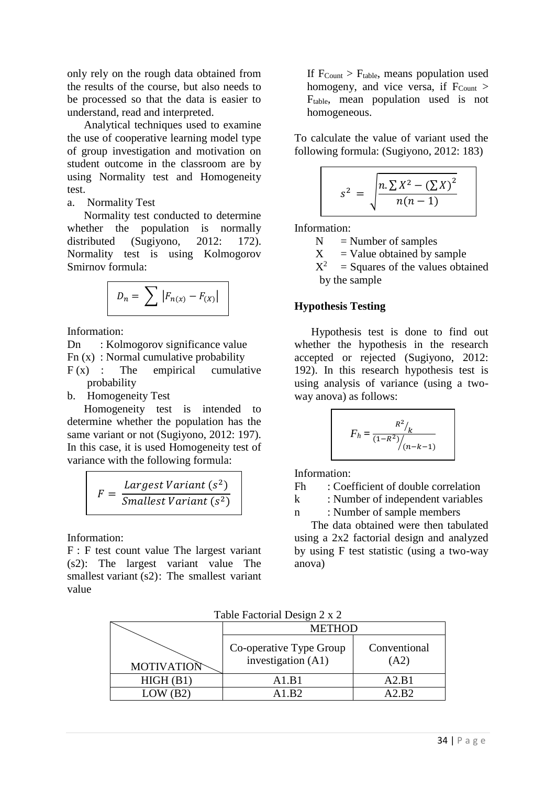only rely on the rough data obtained from the results of the course, but also needs to be processed so that the data is easier to understand, read and interpreted.

Analytical techniques used to examine the use of cooperative learning model type of group investigation and motivation on student outcome in the classroom are by using Normality test and Homogeneity test.

a. Normality Test

Normality test conducted to determine whether the population is normally distributed (Sugiyono, 2012: 172). Normality test is using Kolmogorov Smirnov formula:

$$
D_n = \sum |F_{n(x)} - F_{(X)}|
$$

Information:

Dn : Kolmogorov significance value Fn (x) : Normal cumulative probability  $F(x)$  : The empirical cumulative probability

b. Homogeneity Test

Homogeneity test is intended to determine whether the population has the same variant or not (Sugiyono, 2012: 197). In this case, it is used Homogeneity test of variance with the following formula:

> $F =$ Largest Variant (s<sup>2</sup>) Smallest Variant (s<sup>2</sup>)

Information:

F : F test count value The largest variant (s2): The largest variant value The smallest variant (s2): The smallest variant value

If  $F_{Count} > F_{table}$ , means population used homogeny, and vice versa, if  $F_{\text{Count}}$  > Ftable, mean population used is not homogeneous.

To calculate the value of variant used the following formula: (Sugiyono, 2012: 183)

$$
s^{2} = \sqrt{\frac{n \cdot \sum X^{2} - (\sum X)^{2}}{n(n-1)}}
$$

Information:

 $N =$  Number of samples

 $X =$ Value obtained by sample

 $X^2$  $=$  Squares of the values obtained by the sample

### **Hypothesis Testing**

Hypothesis test is done to find out whether the hypothesis in the research accepted or rejected (Sugiyono, 2012: 192). In this research hypothesis test is using analysis of variance (using a twoway anova) as follows:

$$
F_h = \frac{R^2/2}{(1 - R^2)/(n - k - 1)}
$$

Information:

Fh : Coefficient of double correlation

k : Number of independent variables

n : Number of sample members

The data obtained were then tabulated using a 2x2 factorial design and analyzed by using F test statistic (using a two-way anova)

Table Factorial Design 2 x 2

|                   | <b>METHOD</b>                                 |                      |  |
|-------------------|-----------------------------------------------|----------------------|--|
| <b>MOTIVATION</b> | Co-operative Type Group<br>investigation (A1) | Conventional<br>(A2) |  |
| HIGH(B1)          | A <sub>1</sub> R <sub>1</sub>                 | A2.B1                |  |
|                   | 41 R2                                         | $2$ R2               |  |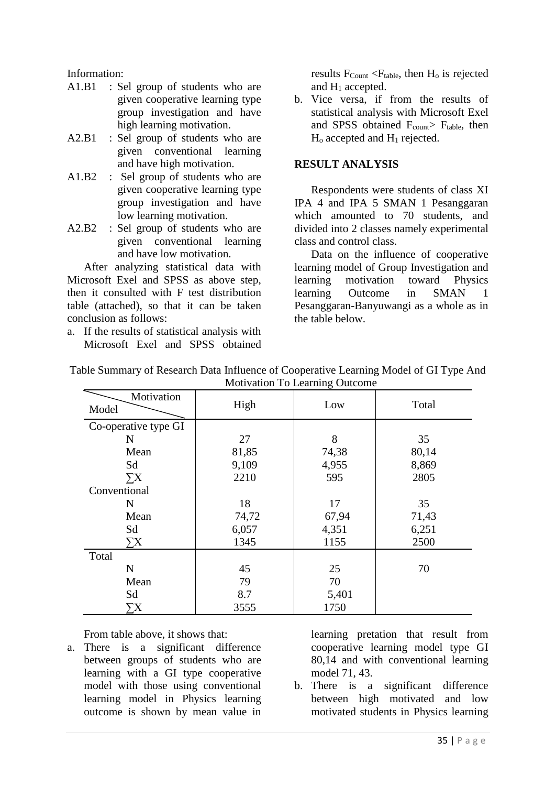Information:

- A1.B1 : Sel group of students who are given cooperative learning type group investigation and have high learning motivation.
- A2.B1 : Sel group of students who are given conventional learning and have high motivation.
- A1.B2 : Sel group of students who are given cooperative learning type group investigation and have low learning motivation.
- A2.B2 : Sel group of students who are given conventional learning and have low motivation.

After analyzing statistical data with Microsoft Exel and SPSS as above step, then it consulted with F test distribution table (attached), so that it can be taken conclusion as follows:

a. If the results of statistical analysis with Microsoft Exel and SPSS obtained results  $F_{Count} < F_{table}$ , then  $H_0$  is rejected and H<sup>1</sup> accepted.

b. Vice versa, if from the results of statistical analysis with Microsoft Exel and SPSS obtained  $F_{\text{count}}$  F<sub>table</sub>, then  $H<sub>o</sub>$  accepted and  $H<sub>1</sub>$  rejected.

### **RESULT ANALYSIS**

Respondents were students of class XI IPA 4 and IPA 5 SMAN 1 Pesanggaran which amounted to 70 students, and divided into 2 classes namely experimental class and control class.

Data on the influence of cooperative learning model of Group Investigation and learning motivation toward Physics learning Outcome in SMAN 1 Pesanggaran-Banyuwangi as a whole as in the table below.

| nouvadon 10 meaning outcome |       |       |       |  |  |  |
|-----------------------------|-------|-------|-------|--|--|--|
| Motivation<br>Model         | High  | Low   | Total |  |  |  |
| Co-operative type GI        |       |       |       |  |  |  |
| N                           | 27    | 8     | 35    |  |  |  |
| Mean                        | 81,85 | 74,38 | 80,14 |  |  |  |
| Sd                          | 9,109 | 4,955 | 8,869 |  |  |  |
| $\Sigma X$                  | 2210  | 595   | 2805  |  |  |  |
| Conventional                |       |       |       |  |  |  |
| N                           | 18    | 17    | 35    |  |  |  |
| Mean                        | 74,72 | 67,94 | 71,43 |  |  |  |
| Sd                          | 6,057 | 4,351 | 6,251 |  |  |  |
| $\Sigma X$                  | 1345  | 1155  | 2500  |  |  |  |
| Total                       |       |       |       |  |  |  |
| N                           | 45    | 25    | 70    |  |  |  |
| Mean                        | 79    | 70    |       |  |  |  |
| Sd                          | 8.7   | 5,401 |       |  |  |  |
| $\sum X$                    | 3555  | 1750  |       |  |  |  |

Table Summary of Research Data Influence of Cooperative Learning Model of GI Type And Motivation To Learning Outcome

From table above, it shows that:

a. There is a significant difference between groups of students who are learning with a GI type cooperative model with those using conventional learning model in Physics learning outcome is shown by mean value in learning pretation that result from cooperative learning model type GI 80,14 and with conventional learning model 71, 43.

b. There is a significant difference between high motivated and low motivated students in Physics learning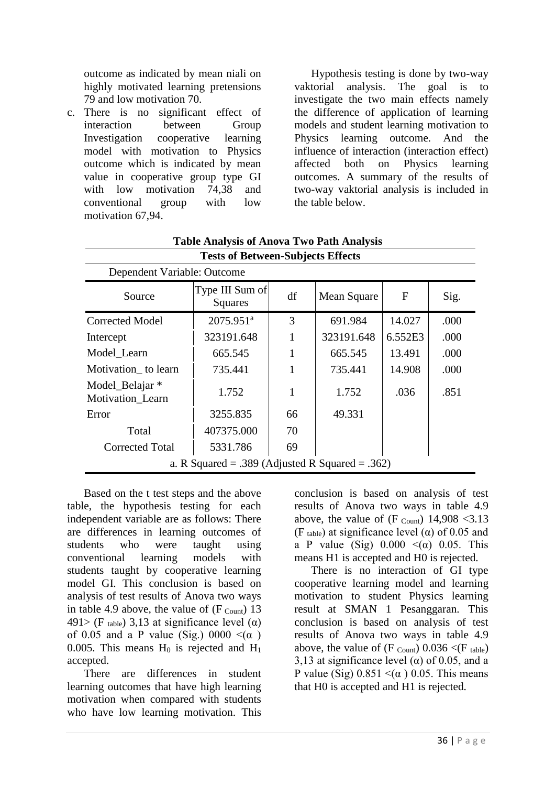outcome as indicated by mean niali on highly motivated learning pretensions 79 and low motivation 70.

c. There is no significant effect of interaction between Group Investigation cooperative learning model with motivation to Physics outcome which is indicated by mean value in cooperative group type GI with low motivation 74,38 and conventional group with low motivation 67,94.

Dependent Variable: Outcome

Hypothesis testing is done by two-way vaktorial analysis. The goal is to investigate the two main effects namely the difference of application of learning models and student learning motivation to Physics learning outcome. And the influence of interaction (interaction effect) affected both on Physics learning outcomes. A summary of the results of two-way vaktorial analysis is included in the table below.

| Source                                          | Type III Sum of<br>Squares | df | Mean Square | F       | Sig. |  |
|-------------------------------------------------|----------------------------|----|-------------|---------|------|--|
| <b>Corrected Model</b>                          | $2075.951$ <sup>a</sup>    | 3  | 691.984     | 14.027  | .000 |  |
| Intercept                                       | 323191.648                 | 1  | 323191.648  | 6.552E3 | .000 |  |
| Model Learn                                     | 665.545                    | 1  | 665.545     | 13.491  | .000 |  |
| Motivation to learn                             | 735.441                    | 1  | 735.441     | 14.908  | .000 |  |
| Model_Belajar *<br>Motivation_Learn             | 1.752                      | 1  | 1.752       | .036    | .851 |  |
| Error                                           | 3255.835                   | 66 | 49.331      |         |      |  |
| Total                                           | 407375.000                 | 70 |             |         |      |  |
| <b>Corrected Total</b>                          | 5331.786                   | 69 |             |         |      |  |
| a. R Squared = .389 (Adjusted R Squared = .362) |                            |    |             |         |      |  |

# **Table Analysis of Anova Two Path Analysis Tests of Between-Subjects Effects**

Based on the t test steps and the above table, the hypothesis testing for each independent variable are as follows: There are differences in learning outcomes of students who were taught using conventional learning models with students taught by cooperative learning model GI. This conclusion is based on analysis of test results of Anova two ways in table 4.9 above, the value of  $(F_{\text{Count}})$  13 491> (F table) 3,13 at significance level ( $\alpha$ ) of 0.05 and a P value (Sig.) 0000  $\leq(\alpha)$ 0.005. This means  $H_0$  is rejected and  $H_1$ accepted.

There are differences in student learning outcomes that have high learning motivation when compared with students who have low learning motivation. This

conclusion is based on analysis of test results of Anova two ways in table 4.9 above, the value of  $(F_{\text{Count}})$  14,908 < 3.13 (F table) at significance level ( $\alpha$ ) of 0.05 and a P value (Sig)  $0.000 \leq (\alpha) 0.05$ . This means H1 is accepted and H0 is rejected.

There is no interaction of GI type cooperative learning model and learning motivation to student Physics learning result at SMAN 1 Pesanggaran. This conclusion is based on analysis of test results of Anova two ways in table 4.9 above, the value of  $(F \text{ count})$  0.036  $\lt (F \text{ table})$ 3,13 at significance level ( $\alpha$ ) of 0.05, and a P value (Sig)  $0.851 \leq (\alpha) 0.05$ . This means that H0 is accepted and H1 is rejected.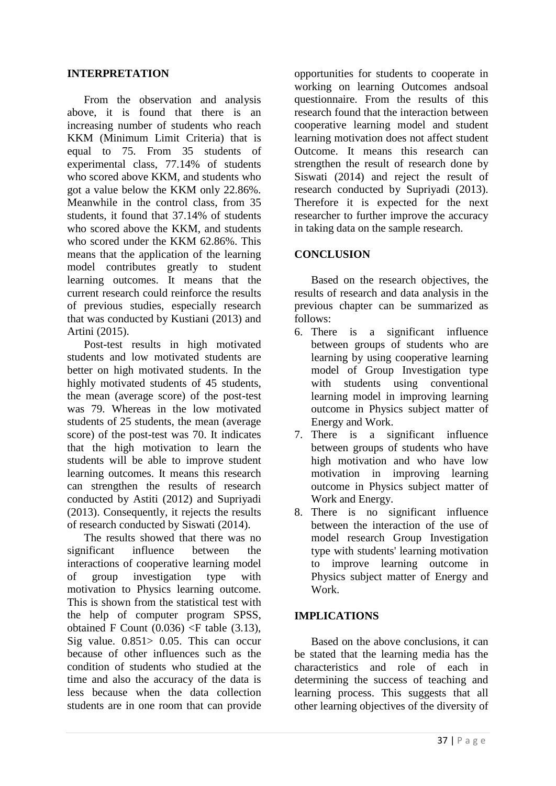### **INTERPRETATION**

From the observation and analysis above, it is found that there is an increasing number of students who reach KKM (Minimum Limit Criteria) that is equal to 75. From 35 students of experimental class, 77.14% of students who scored above KKM, and students who got a value below the KKM only 22.86%. Meanwhile in the control class, from 35 students, it found that 37.14% of students who scored above the KKM, and students who scored under the KKM 62.86%. This means that the application of the learning model contributes greatly to student learning outcomes. It means that the current research could reinforce the results of previous studies, especially research that was conducted by Kustiani (2013) and Artini (2015).

Post-test results in high motivated students and low motivated students are better on high motivated students. In the highly motivated students of 45 students, the mean (average score) of the post-test was 79. Whereas in the low motivated students of 25 students, the mean (average score) of the post-test was 70. It indicates that the high motivation to learn the students will be able to improve student learning outcomes. It means this research can strengthen the results of research conducted by Astiti (2012) and Supriyadi (2013). Consequently, it rejects the results of research conducted by Siswati (2014).

The results showed that there was no significant influence between the interactions of cooperative learning model of group investigation type with motivation to Physics learning outcome. This is shown from the statistical test with the help of computer program SPSS, obtained F Count  $(0.036)$  <F table  $(3.13)$ , Sig value. 0.851> 0.05. This can occur because of other influences such as the condition of students who studied at the time and also the accuracy of the data is less because when the data collection students are in one room that can provide opportunities for students to cooperate in working on learning Outcomes andsoal questionnaire. From the results of this research found that the interaction between cooperative learning model and student learning motivation does not affect student Outcome. It means this research can strengthen the result of research done by Siswati (2014) and reject the result of research conducted by Supriyadi (2013). Therefore it is expected for the next researcher to further improve the accuracy in taking data on the sample research.

### **CONCLUSION**

Based on the research objectives, the results of research and data analysis in the previous chapter can be summarized as follows:

- 6. There is a significant influence between groups of students who are learning by using cooperative learning model of Group Investigation type with students using conventional learning model in improving learning outcome in Physics subject matter of Energy and Work.
- 7. There is a significant influence between groups of students who have high motivation and who have low motivation in improving learning outcome in Physics subject matter of Work and Energy.
- 8. There is no significant influence between the interaction of the use of model research Group Investigation type with students' learning motivation to improve learning outcome in Physics subject matter of Energy and Work.

### **IMPLICATIONS**

Based on the above conclusions, it can be stated that the learning media has the characteristics and role of each in determining the success of teaching and learning process. This suggests that all other learning objectives of the diversity of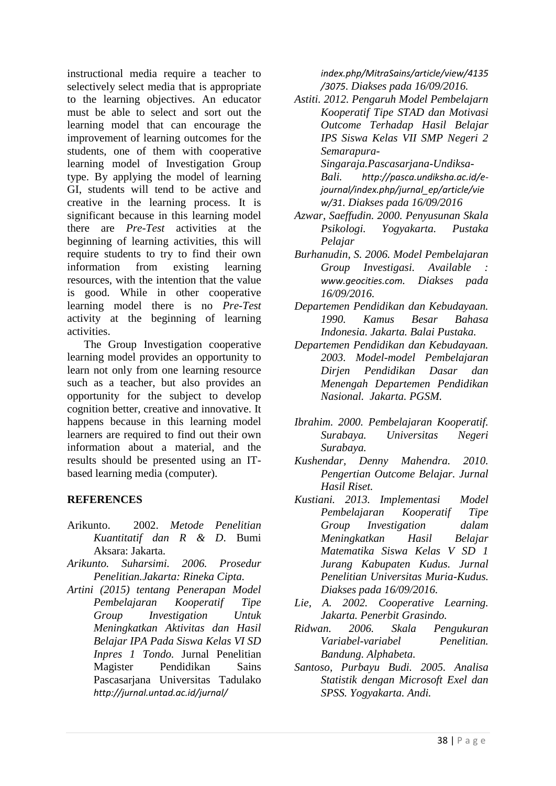instructional media require a teacher to selectively select media that is appropriate to the learning objectives. An educator must be able to select and sort out the learning model that can encourage the improvement of learning outcomes for the students, one of them with cooperative learning model of Investigation Group type. By applying the model of learning GI, students will tend to be active and creative in the learning process. It is significant because in this learning model there are *Pre-Test* activities at the beginning of learning activities, this will require students to try to find their own information from existing learning resources, with the intention that the value is good. While in other cooperative learning model there is no *Pre-Test* activity at the beginning of learning activities.

The Group Investigation cooperative learning model provides an opportunity to learn not only from one learning resource such as a teacher, but also provides an opportunity for the subject to develop cognition better, creative and innovative. It happens because in this learning model learners are required to find out their own information about a material, and the results should be presented using an ITbased learning media (computer).

# **REFERENCES**

- Arikunto. 2002. *Metode Penelitian Kuantitatif dan R & D*. Bumi Aksara: Jakarta.
- *Arikunto. Suharsimi. 2006. Prosedur Penelitian.Jakarta: Rineka Cipta.*
- *Artini (2015) tentang Penerapan Model Pembelajaran Kooperatif Tipe Group Investigation Untuk Meningkatkan Aktivitas dan Hasil Belajar IPA Pada Siswa Kelas VI SD Inpres 1 Tondo.* Jurnal Penelitian Magister Pendidikan Sains Pascasarjana Universitas Tadulako *[http://jurnal.untad.ac.id/jurnal/](http://jurnal.untad.ac.id/jurnal/%20index.php/MitraSains/article/view/4135/3075)*

*[index.php/MitraSains/article/view/4135](http://jurnal.untad.ac.id/jurnal/%20index.php/MitraSains/article/view/4135/3075) [/3075](http://jurnal.untad.ac.id/jurnal/%20index.php/MitraSains/article/view/4135/3075). Diakses pada 16/09/2016.*

*Astiti. 2012. Pengaruh Model Pembelajarn Kooperatif Tipe STAD dan Motivasi Outcome Terhadap Hasil Belajar IPS Siswa Kelas VII SMP Negeri 2 Semarapura-*

*Singaraja.Pascasarjana-Undiksa-Bali. [http://pasca.undiksha.ac.id/e](http://pasca.undiksha.ac.id/e-journal/index.php/jurnal_ep/article/view/31)[journal/index.php/jurnal\\_ep/article/vie](http://pasca.undiksha.ac.id/e-journal/index.php/jurnal_ep/article/view/31) [w/31](http://pasca.undiksha.ac.id/e-journal/index.php/jurnal_ep/article/view/31). Diakses pada 16/09/2016*

- *Azwar, Saeffudin. 2000. Penyusunan Skala Psikologi. Yogyakarta. Pustaka Pelajar*
- *Burhanudin, S. 2006. Model Pembelajaran Group Investigasi. Available : [www.geocities.com](http://www.geocities.com/). Diakses pada 16/09/2016.*
- *Departemen Pendidikan dan Kebudayaan. 1990. Kamus Besar Bahasa Indonesia. Jakarta. Balai Pustaka.*
- *Departemen Pendidikan dan Kebudayaan. 2003. Model-model Pembelajaran Dirjen Pendidikan Dasar dan Menengah Departemen Pendidikan Nasional. Jakarta. PGSM.*
- *Ibrahim. 2000. Pembelajaran Kooperatif. Surabaya. Universitas Negeri Surabaya.*
- *Kushendar, Denny Mahendra. 2010. Pengertian Outcome Belajar. Jurnal Hasil Riset.*
- *Kustiani. 2013. Implementasi Model Pembelajaran Kooperatif Tipe Group Investigation dalam Meningkatkan Hasil Belajar Matematika Siswa Kelas V SD 1 Jurang Kabupaten Kudus. Jurnal Penelitian Universitas Muria-Kudus. Diakses pada 16/09/2016.*
- *Lie, A. 2002. Cooperative Learning. Jakarta. Penerbit Grasindo.*
- *Ridwan. 2006. Skala Pengukuran Variabel-variabel Penelitian. Bandung. Alphabeta.*
- *Santoso, Purbayu Budi. 2005. Analisa Statistik dengan Microsoft Exel dan SPSS. Yogyakarta. Andi.*